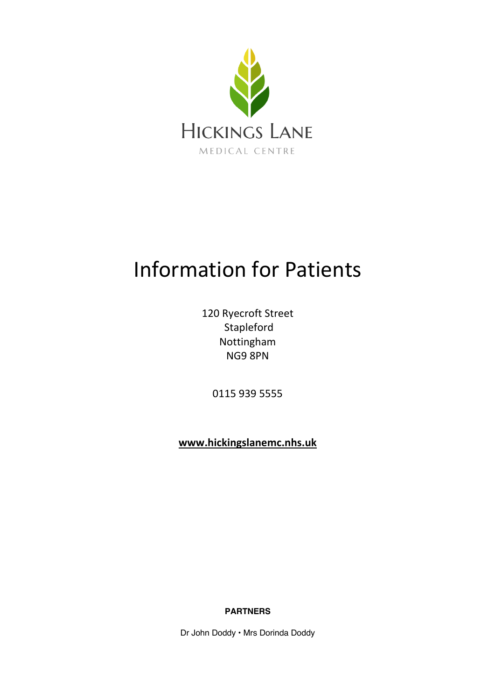

# Information for Patients

120 Ryecroft Street Stapleford Nottingham NG9 8PN

0115 939 5555

**www.hickingslanemc.nhs.uk**

**PARTNERS**

Dr John Doddy • Mrs Dorinda Doddy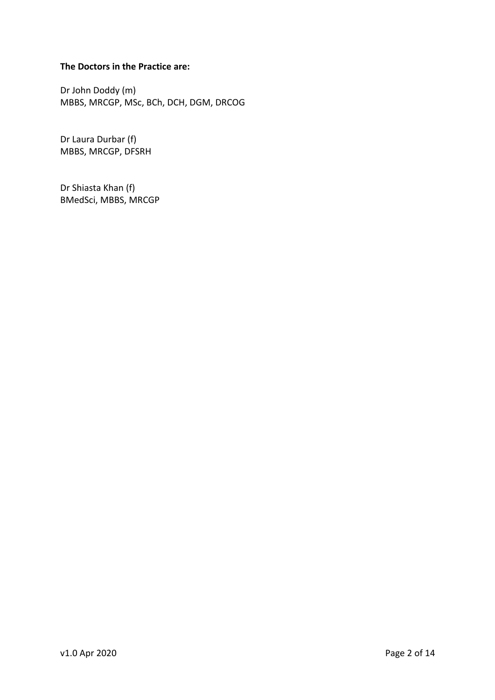# **The Doctors in the Practice are:**

Dr John Doddy (m) MBBS, MRCGP, MSc, BCh, DCH, DGM, DRCOG

Dr Laura Durbar (f) MBBS, MRCGP, DFSRH

Dr Shiasta Khan (f) BMedSci, MBBS, MRCGP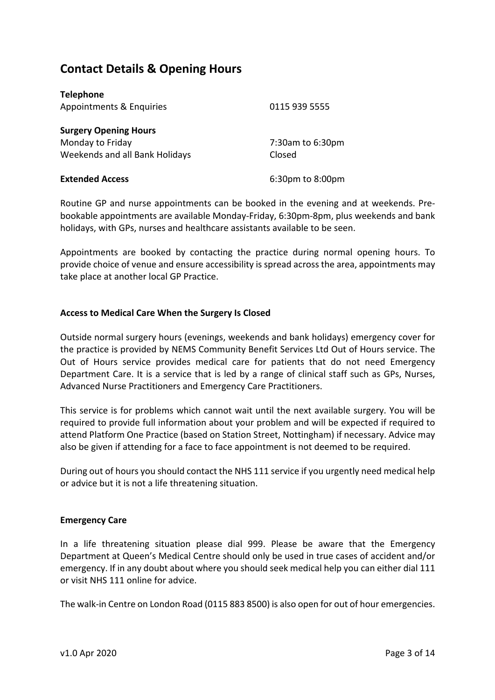# **Contact Details & Opening Hours**

| <b>Telephone</b>               |                  |
|--------------------------------|------------------|
| Appointments & Enquiries       | 0115 939 5555    |
|                                |                  |
| <b>Surgery Opening Hours</b>   |                  |
| Monday to Friday               | 7:30am to 6:30pm |
| Weekends and all Bank Holidays | Closed           |
|                                |                  |
| <b>Extended Access</b>         | 6:30pm to 8:00pm |

Routine GP and nurse appointments can be booked in the evening and at weekends. Prebookable appointments are available Monday-Friday, 6:30pm-8pm, plus weekends and bank holidays, with GPs, nurses and healthcare assistants available to be seen.

Appointments are booked by contacting the practice during normal opening hours. To provide choice of venue and ensure accessibility is spread across the area, appointments may take place at another local GP Practice.

# **Access to Medical Care When the Surgery Is Closed**

Outside normal surgery hours (evenings, weekends and bank holidays) emergency cover for the practice is provided by NEMS Community Benefit Services Ltd Out of Hours service. The Out of Hours service provides medical care for patients that do not need Emergency Department Care. It is a service that is led by a range of clinical staff such as GPs, Nurses, Advanced Nurse Practitioners and Emergency Care Practitioners.

This service is for problems which cannot wait until the next available surgery. You will be required to provide full information about your problem and will be expected if required to attend Platform One Practice (based on Station Street, Nottingham) if necessary. Advice may also be given if attending for a face to face appointment is not deemed to be required.

During out of hours you should contact the NHS 111 service if you urgently need medical help or advice but it is not a life threatening situation.

# **Emergency Care**

In a life threatening situation please dial 999. Please be aware that the Emergency Department at Queen's Medical Centre should only be used in true cases of accident and/or emergency. If in any doubt about where you should seek medical help you can either dial 111 or visit NHS 111 online for advice.

The walk-in Centre on London Road (0115 883 8500) is also open for out of hour emergencies.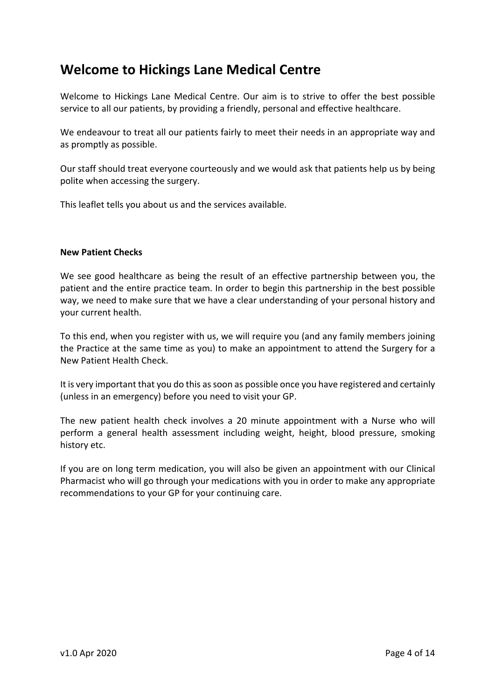# **Welcome to Hickings Lane Medical Centre**

Welcome to Hickings Lane Medical Centre. Our aim is to strive to offer the best possible service to all our patients, by providing a friendly, personal and effective healthcare.

We endeavour to treat all our patients fairly to meet their needs in an appropriate way and as promptly as possible.

Our staff should treat everyone courteously and we would ask that patients help us by being polite when accessing the surgery.

This leaflet tells you about us and the services available.

# **New Patient Checks**

We see good healthcare as being the result of an effective partnership between you, the patient and the entire practice team. In order to begin this partnership in the best possible way, we need to make sure that we have a clear understanding of your personal history and your current health.

To this end, when you register with us, we will require you (and any family members joining the Practice at the same time as you) to make an appointment to attend the Surgery for a New Patient Health Check.

It is very important that you do this as soon as possible once you have registered and certainly (unless in an emergency) before you need to visit your GP.

The new patient health check involves a 20 minute appointment with a Nurse who will perform a general health assessment including weight, height, blood pressure, smoking history etc.

If you are on long term medication, you will also be given an appointment with our Clinical Pharmacist who will go through your medications with you in order to make any appropriate recommendations to your GP for your continuing care.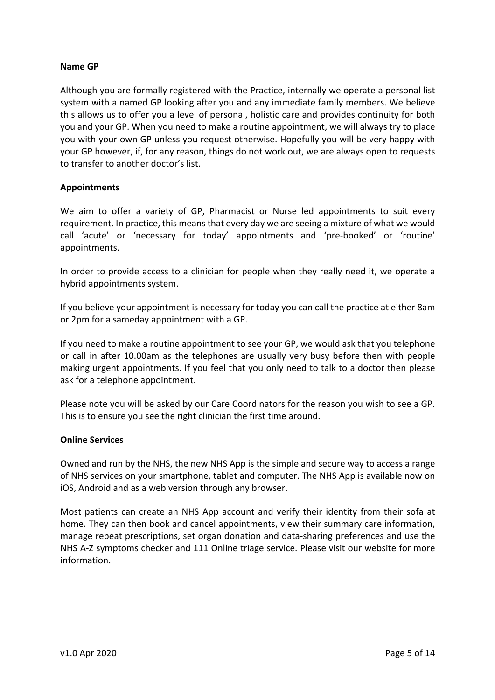# **Name GP**

Although you are formally registered with the Practice, internally we operate a personal list system with a named GP looking after you and any immediate family members. We believe this allows us to offer you a level of personal, holistic care and provides continuity for both you and your GP. When you need to make a routine appointment, we will always try to place you with your own GP unless you request otherwise. Hopefully you will be very happy with your GP however, if, for any reason, things do not work out, we are always open to requests to transfer to another doctor's list.

# **Appointments**

We aim to offer a variety of GP, Pharmacist or Nurse led appointments to suit every requirement. In practice, this means that every day we are seeing a mixture of what we would call 'acute' or 'necessary for today' appointments and 'pre-booked' or 'routine' appointments.

In order to provide access to a clinician for people when they really need it, we operate a hybrid appointments system.

If you believe your appointment is necessary for today you can call the practice at either 8am or 2pm for a sameday appointment with a GP.

If you need to make a routine appointment to see your GP, we would ask that you telephone or call in after 10.00am as the telephones are usually very busy before then with people making urgent appointments. If you feel that you only need to talk to a doctor then please ask for a telephone appointment.

Please note you will be asked by our Care Coordinators for the reason you wish to see a GP. This is to ensure you see the right clinician the first time around.

# **Online Services**

Owned and run by the NHS, the new NHS App is the simple and secure way to access a range of NHS services on your smartphone, tablet and computer. The NHS App is available now on iOS, Android and as a web version through any browser.

Most patients can create an NHS App account and verify their identity from their sofa at home. They can then book and cancel appointments, view their summary care information, manage repeat prescriptions, set organ donation and data-sharing preferences and use the NHS A-Z symptoms checker and 111 Online triage service. Please visit our website for more information.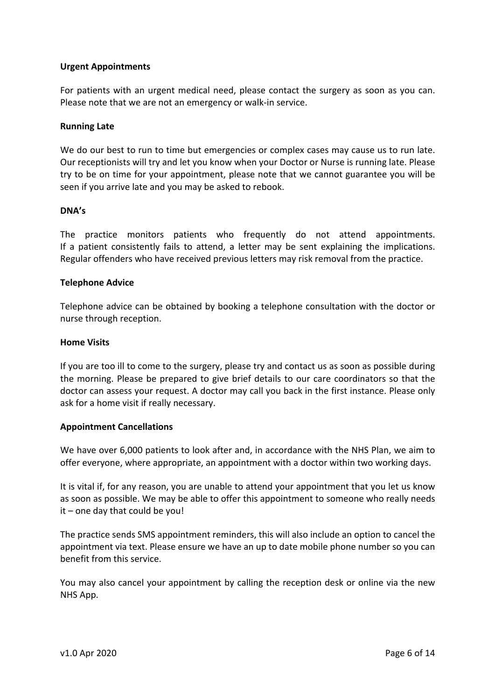# **Urgent Appointments**

For patients with an urgent medical need, please contact the surgery as soon as you can. Please note that we are not an emergency or walk-in service.

#### **Running Late**

We do our best to run to time but emergencies or complex cases may cause us to run late. Our receptionists will try and let you know when your Doctor or Nurse is running late. Please try to be on time for your appointment, please note that we cannot guarantee you will be seen if you arrive late and you may be asked to rebook.

#### **DNA's**

The practice monitors patients who frequently do not attend appointments. If a patient consistently fails to attend, a letter may be sent explaining the implications. Regular offenders who have received previous letters may risk removal from the practice.

#### **Telephone Advice**

Telephone advice can be obtained by booking a telephone consultation with the doctor or nurse through reception.

# **Home Visits**

If you are too ill to come to the surgery, please try and contact us as soon as possible during the morning. Please be prepared to give brief details to our care coordinators so that the doctor can assess your request. A doctor may call you back in the first instance. Please only ask for a home visit if really necessary.

# **Appointment Cancellations**

We have over 6,000 patients to look after and, in accordance with the NHS Plan, we aim to offer everyone, where appropriate, an appointment with a doctor within two working days.

It is vital if, for any reason, you are unable to attend your appointment that you let us know as soon as possible. We may be able to offer this appointment to someone who really needs  $it$  – one day that could be you!

The practice sends SMS appointment reminders, this will also include an option to cancel the appointment via text. Please ensure we have an up to date mobile phone number so you can benefit from this service.

You may also cancel your appointment by calling the reception desk or online via the new NHS App.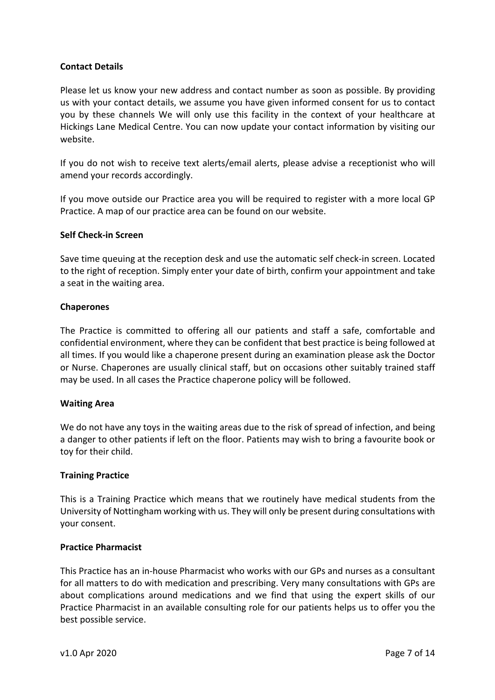# **Contact Details**

Please let us know your new address and contact number as soon as possible. By providing us with your contact details, we assume you have given informed consent for us to contact you by these channels We will only use this facility in the context of your healthcare at Hickings Lane Medical Centre. You can now update your contact information by visiting our website.

If you do not wish to receive text alerts/email alerts, please advise a receptionist who will amend your records accordingly.

If you move outside our Practice area you will be required to register with a more local GP Practice. A map of our practice area can be found on our website.

# **Self Check-in Screen**

Save time queuing at the reception desk and use the automatic self check-in screen. Located to the right of reception. Simply enter your date of birth, confirm your appointment and take a seat in the waiting area.

#### **Chaperones**

The Practice is committed to offering all our patients and staff a safe, comfortable and confidential environment, where they can be confident that best practice is being followed at all times. If you would like a chaperone present during an examination please ask the Doctor or Nurse. Chaperones are usually clinical staff, but on occasions other suitably trained staff may be used. In all cases the Practice chaperone policy will be followed.

# **Waiting Area**

We do not have any toys in the waiting areas due to the risk of spread of infection, and being a danger to other patients if left on the floor. Patients may wish to bring a favourite book or toy for their child.

# **Training Practice**

This is a Training Practice which means that we routinely have medical students from the University of Nottingham working with us. They will only be present during consultations with your consent.

# **Practice Pharmacist**

This Practice has an in-house Pharmacist who works with our GPs and nurses as a consultant for all matters to do with medication and prescribing. Very many consultations with GPs are about complications around medications and we find that using the expert skills of our Practice Pharmacist in an available consulting role for our patients helps us to offer you the best possible service.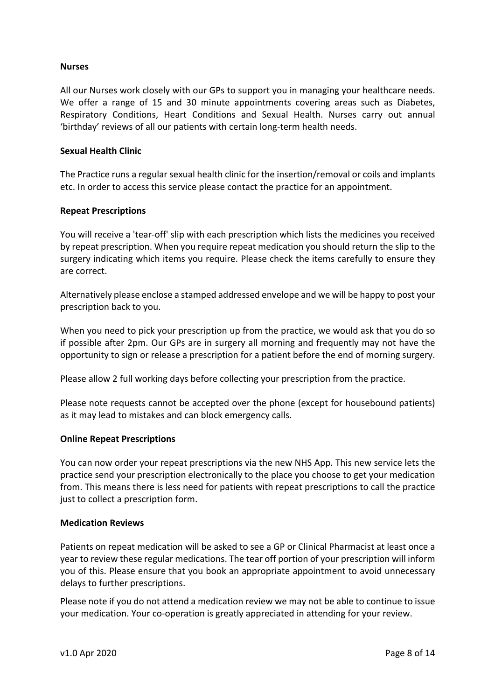#### **Nurses**

All our Nurses work closely with our GPs to support you in managing your healthcare needs. We offer a range of 15 and 30 minute appointments covering areas such as Diabetes, Respiratory Conditions, Heart Conditions and Sexual Health. Nurses carry out annual 'birthday' reviews of all our patients with certain long-term health needs.

#### **Sexual Health Clinic**

The Practice runs a regular sexual health clinic for the insertion/removal or coils and implants etc. In order to access this service please contact the practice for an appointment.

#### **Repeat Prescriptions**

You will receive a 'tear-off' slip with each prescription which lists the medicines you received by repeat prescription. When you require repeat medication you should return the slip to the surgery indicating which items you require. Please check the items carefully to ensure they are correct.

Alternatively please enclose a stamped addressed envelope and we will be happy to post your prescription back to you.

When you need to pick your prescription up from the practice, we would ask that you do so if possible after 2pm. Our GPs are in surgery all morning and frequently may not have the opportunity to sign or release a prescription for a patient before the end of morning surgery.

Please allow 2 full working days before collecting your prescription from the practice.

Please note requests cannot be accepted over the phone (except for housebound patients) as it may lead to mistakes and can block emergency calls.

#### **Online Repeat Prescriptions**

You can now order your repeat prescriptions via the new NHS App. This new service lets the practice send your prescription electronically to the place you choose to get your medication from. This means there is less need for patients with repeat prescriptions to call the practice just to collect a prescription form.

#### **Medication Reviews**

Patients on repeat medication will be asked to see a GP or Clinical Pharmacist at least once a year to review these regular medications. The tear off portion of your prescription will inform you of this. Please ensure that you book an appropriate appointment to avoid unnecessary delays to further prescriptions.

Please note if you do not attend a medication review we may not be able to continue to issue your medication. Your co-operation is greatly appreciated in attending for your review.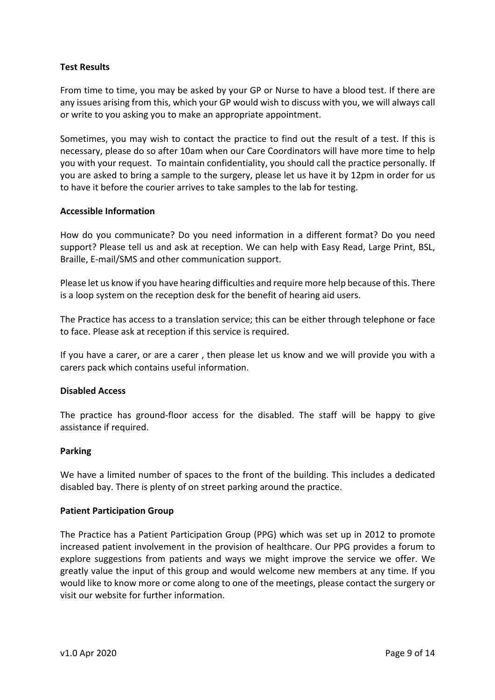# **Test Results**

From time to time, you may be asked by your GP or Nurse to have a blood test. If there are any issues arising from this, which your GP would wish to discuss with you, we will always call or write to you asking you to make an appropriate appointment.

Sometimes, you may wish to contact the practice to find out the result of a test. If this is necessary, please do so after 10am when our Care Coordinators will have more time to help you with your request. To maintain confidentiality, you should call the practice personally. If you are asked to bring a sample to the surgery, please let us have it by 12pm in order for us to have it before the courier arrives to take samples to the lab for testing.

#### **Accessible Information**

How do you communicate? Do you need information in a different format? Do you need support? Please tell us and ask at reception. We can help with Easy Read, Large Print, BSL, Braille, E-mail/SMS and other communication support.

Please let us know if you have hearing difficulties and require more help because of this. There is a loop system on the reception desk for the benefit of hearing aid users.

The Practice has access to a translation service; this can be either through telephone or face to face. Please ask at reception if this service is required.

If you have a carer, or are a carer , then please let us know and we will provide you with a carers pack which contains useful information.

# **Disabled Access**

The practice has ground-floor access for the disabled. The staff will be happy to give assistance if required.

#### **Parking**

We have a limited number of spaces to the front of the building. This includes a dedicated disabled bay. There is plenty of on street parking around the practice.

#### **Patient Participation Group**

The Practice has a Patient Participation Group (PPG) which was set up in 2012 to promote increased patient involvement in the provision of healthcare. Our PPG provides a forum to explore suggestions from patients and ways we might improve the service we offer. We greatly value the input of this group and would welcome new members at any time. If you would like to know more or come along to one of the meetings, please contact the surgery or visit our website for further information.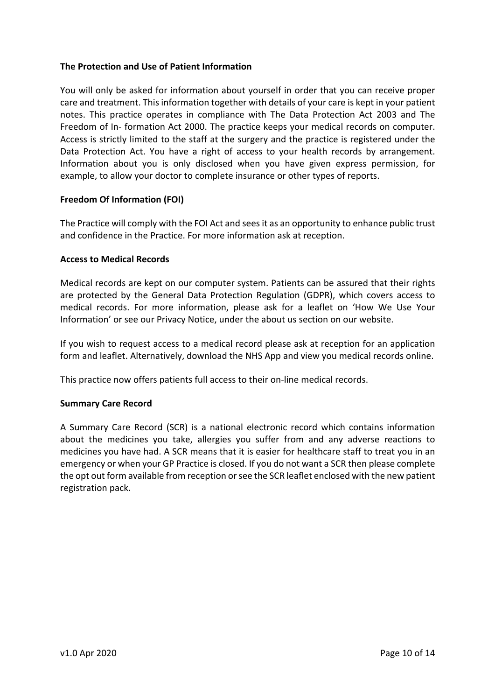# **The Protection and Use of Patient Information**

You will only be asked for information about yourself in order that you can receive proper care and treatment. This information together with details of your care is kept in your patient notes. This practice operates in compliance with The Data Protection Act 2003 and The Freedom of In- formation Act 2000. The practice keeps your medical records on computer. Access is strictly limited to the staff at the surgery and the practice is registered under the Data Protection Act. You have a right of access to your health records by arrangement. Information about you is only disclosed when you have given express permission, for example, to allow your doctor to complete insurance or other types of reports.

# **Freedom Of Information (FOI)**

The Practice will comply with the FOI Act and sees it as an opportunity to enhance public trust and confidence in the Practice. For more information ask at reception.

# **Access to Medical Records**

Medical records are kept on our computer system. Patients can be assured that their rights are protected by the General Data Protection Regulation (GDPR), which covers access to medical records. For more information, please ask for a leaflet on 'How We Use Your Information' or see our Privacy Notice, under the about us section on our website.

If you wish to request access to a medical record please ask at reception for an application form and leaflet. Alternatively, download the NHS App and view you medical records online.

This practice now offers patients full access to their on-line medical records.

# **Summary Care Record**

A Summary Care Record (SCR) is a national electronic record which contains information about the medicines you take, allergies you suffer from and any adverse reactions to medicines you have had. A SCR means that it is easier for healthcare staff to treat you in an emergency or when your GP Practice is closed. If you do not want a SCR then please complete the opt out form available from reception or see the SCR leaflet enclosed with the new patient registration pack.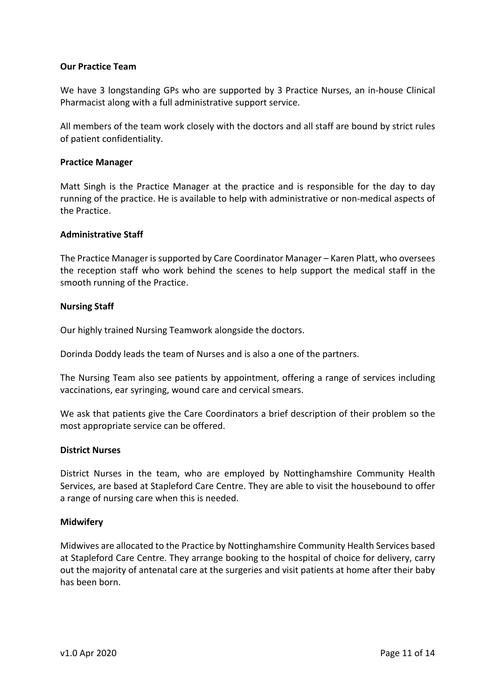# **Our Practice Team**

We have 3 longstanding GPs who are supported by 3 Practice Nurses, an in-house Clinical Pharmacist along with a full administrative support service.

All members of the team work closely with the doctors and all staff are bound by strict rules of patient confidentiality.

# **Practice Manager**

Matt Singh is the Practice Manager at the practice and is responsible for the day to day running of the practice. He is available to help with administrative or non-medical aspects of the Practice.

#### **Administrative Staff**

The Practice Manager is supported by Care Coordinator Manager – Karen Platt, who oversees the reception staff who work behind the scenes to help support the medical staff in the smooth running of the Practice.

#### **Nursing Staff**

Our highly trained Nursing Teamwork alongside the doctors.

Dorinda Doddy leads the team of Nurses and is also a one of the partners.

The Nursing Team also see patients by appointment, offering a range of services including vaccinations, ear syringing, wound care and cervical smears.

We ask that patients give the Care Coordinators a brief description of their problem so the most appropriate service can be offered.

#### **District Nurses**

District Nurses in the team, who are employed by Nottinghamshire Community Health Services, are based at Stapleford Care Centre. They are able to visit the housebound to offer a range of nursing care when this is needed.

#### **Midwifery**

Midwives are allocated to the Practice by Nottinghamshire Community Health Services based at Stapleford Care Centre. They arrange booking to the hospital of choice for delivery, carry out the majority of antenatal care at the surgeries and visit patients at home after their baby has been born.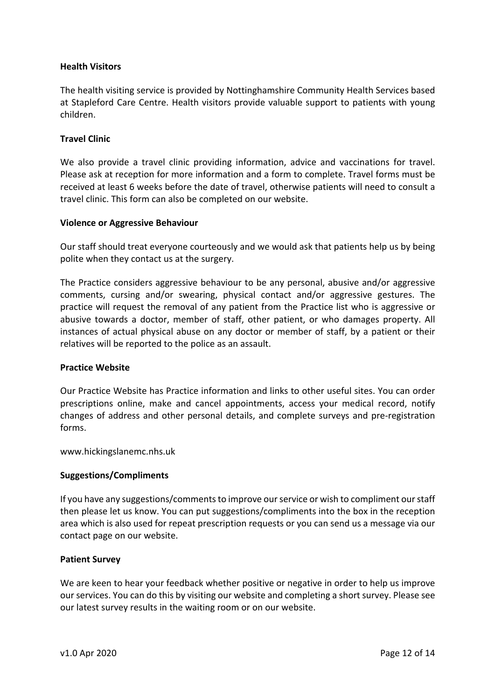# **Health Visitors**

The health visiting service is provided by Nottinghamshire Community Health Services based at Stapleford Care Centre. Health visitors provide valuable support to patients with young children.

#### **Travel Clinic**

We also provide a travel clinic providing information, advice and vaccinations for travel. Please ask at reception for more information and a form to complete. Travel forms must be received at least 6 weeks before the date of travel, otherwise patients will need to consult a travel clinic. This form can also be completed on our website.

#### **Violence or Aggressive Behaviour**

Our staff should treat everyone courteously and we would ask that patients help us by being polite when they contact us at the surgery.

The Practice considers aggressive behaviour to be any personal, abusive and/or aggressive comments, cursing and/or swearing, physical contact and/or aggressive gestures. The practice will request the removal of any patient from the Practice list who is aggressive or abusive towards a doctor, member of staff, other patient, or who damages property. All instances of actual physical abuse on any doctor or member of staff, by a patient or their relatives will be reported to the police as an assault.

#### **Practice Website**

Our Practice Website has Practice information and links to other useful sites. You can order prescriptions online, make and cancel appointments, access your medical record, notify changes of address and other personal details, and complete surveys and pre-registration forms.

www.hickingslanemc.nhs.uk

#### **Suggestions/Compliments**

If you have any suggestions/comments to improve our service or wish to compliment our staff then please let us know. You can put suggestions/compliments into the box in the reception area which is also used for repeat prescription requests or you can send us a message via our contact page on our website.

#### **Patient Survey**

We are keen to hear your feedback whether positive or negative in order to help us improve our services. You can do this by visiting our website and completing a short survey. Please see our latest survey results in the waiting room or on our website.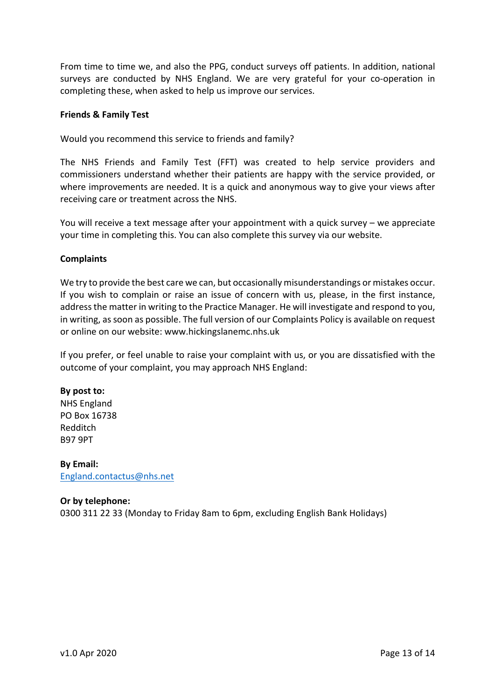From time to time we, and also the PPG, conduct surveys off patients. In addition, national surveys are conducted by NHS England. We are very grateful for your co-operation in completing these, when asked to help us improve our services.

#### **Friends & Family Test**

Would you recommend this service to friends and family?

The NHS Friends and Family Test (FFT) was created to help service providers and commissioners understand whether their patients are happy with the service provided, or where improvements are needed. It is a quick and anonymous way to give your views after receiving care or treatment across the NHS.

You will receive a text message after your appointment with a quick survey – we appreciate your time in completing this. You can also complete this survey via our website.

#### **Complaints**

We try to provide the best care we can, but occasionally misunderstandings or mistakes occur. If you wish to complain or raise an issue of concern with us, please, in the first instance, address the matter in writing to the Practice Manager. He will investigate and respond to you, in writing, as soon as possible. The full version of our Complaints Policy is available on request or online on our website: www.hickingslanemc.nhs.uk

If you prefer, or feel unable to raise your complaint with us, or you are dissatisfied with the outcome of your complaint, you may approach NHS England:

#### **By post to:**

NHS England PO Box 16738 Redditch B97 9PT

**By Email:** England.contactus@nhs.net

# **Or by telephone:**

0300 311 22 33 (Monday to Friday 8am to 6pm, excluding English Bank Holidays)